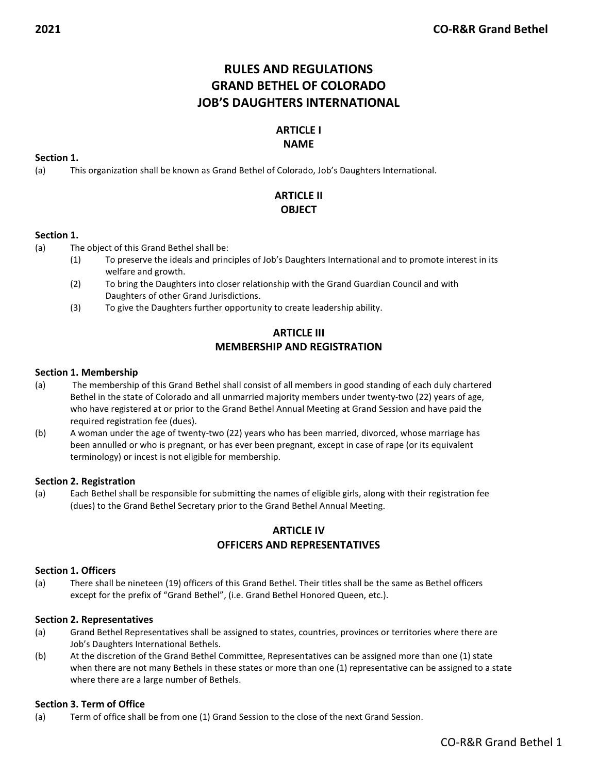# RULES AND REGULATIONS GRAND BETHEL OF COLORADO JOB'S DAUGHTERS INTERNATIONAL

# ARTICLE I

# NAME

# Section 1.

(a) This organization shall be known as Grand Bethel of Colorado, Job's Daughters International.

# ARTICLE II **OBJECT**

# Section 1.

(a) The object of this Grand Bethel shall be:

- (1) To preserve the ideals and principles of Job's Daughters International and to promote interest in its welfare and growth.
- (2) To bring the Daughters into closer relationship with the Grand Guardian Council and with Daughters of other Grand Jurisdictions.
- (3) To give the Daughters further opportunity to create leadership ability.

# ARTICLE III MEMBERSHIP AND REGISTRATION

## Section 1. Membership

- (a) The membership of this Grand Bethel shall consist of all members in good standing of each duly chartered Bethel in the state of Colorado and all unmarried majority members under twenty-two (22) years of age, who have registered at or prior to the Grand Bethel Annual Meeting at Grand Session and have paid the required registration fee (dues).
- (b) A woman under the age of twenty-two (22) years who has been married, divorced, whose marriage has been annulled or who is pregnant, or has ever been pregnant, except in case of rape (or its equivalent terminology) or incest is not eligible for membership.

## Section 2. Registration

(a) Each Bethel shall be responsible for submitting the names of eligible girls, along with their registration fee (dues) to the Grand Bethel Secretary prior to the Grand Bethel Annual Meeting.

# ARTICLE IV OFFICERS AND REPRESENTATIVES

## Section 1. Officers

(a) There shall be nineteen (19) officers of this Grand Bethel. Their titles shall be the same as Bethel officers except for the prefix of "Grand Bethel", (i.e. Grand Bethel Honored Queen, etc.).

## Section 2. Representatives

- (a) Grand Bethel Representatives shall be assigned to states, countries, provinces or territories where there are Job's Daughters International Bethels.
- (b) At the discretion of the Grand Bethel Committee, Representatives can be assigned more than one (1) state when there are not many Bethels in these states or more than one (1) representative can be assigned to a state where there are a large number of Bethels.

## Section 3. Term of Office

(a) Term of office shall be from one (1) Grand Session to the close of the next Grand Session.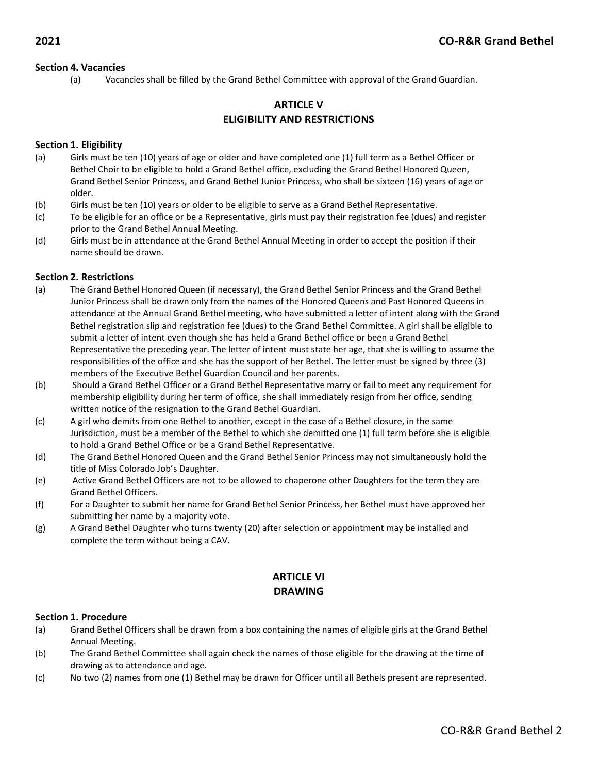#### Section 4. Vacancies

(a) Vacancies shall be filled by the Grand Bethel Committee with approval of the Grand Guardian.

# ARTICLE V ELIGIBILITY AND RESTRICTIONS

#### Section 1. Eligibility

- (a) Girls must be ten (10) years of age or older and have completed one (1) full term as a Bethel Officer or Bethel Choir to be eligible to hold a Grand Bethel office, excluding the Grand Bethel Honored Queen, Grand Bethel Senior Princess, and Grand Bethel Junior Princess, who shall be sixteen (16) years of age or older.
- (b) Girls must be ten (10) years or older to be eligible to serve as a Grand Bethel Representative.
- (c) To be eligible for an office or be a Representative, girls must pay their registration fee (dues) and register prior to the Grand Bethel Annual Meeting.
- (d) Girls must be in attendance at the Grand Bethel Annual Meeting in order to accept the position if their name should be drawn.

#### Section 2. Restrictions

- (a) The Grand Bethel Honored Queen (if necessary), the Grand Bethel Senior Princess and the Grand Bethel Junior Princess shall be drawn only from the names of the Honored Queens and Past Honored Queens in attendance at the Annual Grand Bethel meeting, who have submitted a letter of intent along with the Grand Bethel registration slip and registration fee (dues) to the Grand Bethel Committee. A girl shall be eligible to submit a letter of intent even though she has held a Grand Bethel office or been a Grand Bethel Representative the preceding year. The letter of intent must state her age, that she is willing to assume the responsibilities of the office and she has the support of her Bethel. The letter must be signed by three (3) members of the Executive Bethel Guardian Council and her parents.
- (b) Should a Grand Bethel Officer or a Grand Bethel Representative marry or fail to meet any requirement for membership eligibility during her term of office, she shall immediately resign from her office, sending written notice of the resignation to the Grand Bethel Guardian.
- (c) A girl who demits from one Bethel to another, except in the case of a Bethel closure, in the same Jurisdiction, must be a member of the Bethel to which she demitted one (1) full term before she is eligible to hold a Grand Bethel Office or be a Grand Bethel Representative.
- (d) The Grand Bethel Honored Queen and the Grand Bethel Senior Princess may not simultaneously hold the title of Miss Colorado Job's Daughter.
- (e) Active Grand Bethel Officers are not to be allowed to chaperone other Daughters for the term they are Grand Bethel Officers.
- (f) For a Daughter to submit her name for Grand Bethel Senior Princess, her Bethel must have approved her submitting her name by a majority vote.
- (g) A Grand Bethel Daughter who turns twenty (20) after selection or appointment may be installed and complete the term without being a CAV.

# ARTICLE VI DRAWING

#### Section 1. Procedure

- (a) Grand Bethel Officers shall be drawn from a box containing the names of eligible girls at the Grand Bethel Annual Meeting.
- (b) The Grand Bethel Committee shall again check the names of those eligible for the drawing at the time of drawing as to attendance and age.
- (c) No two (2) names from one (1) Bethel may be drawn for Officer until all Bethels present are represented.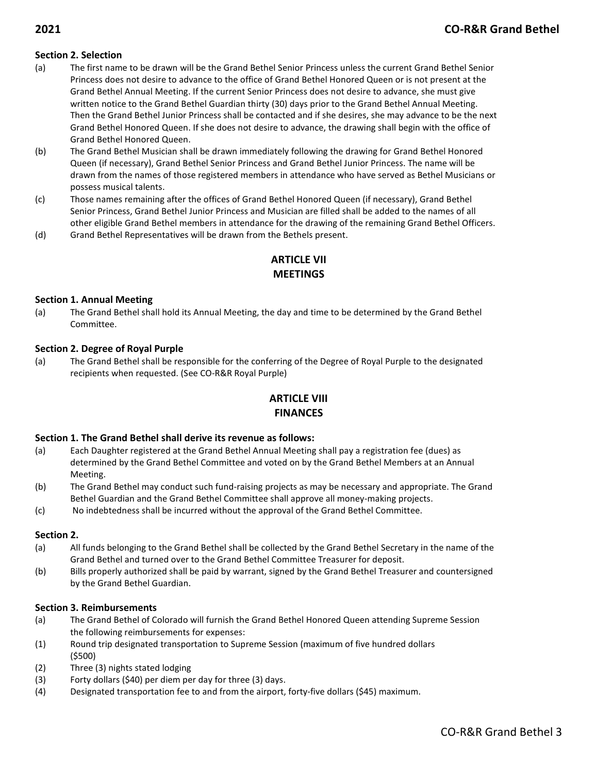# Section 2. Selection

- (a) The first name to be drawn will be the Grand Bethel Senior Princess unless the current Grand Bethel Senior Princess does not desire to advance to the office of Grand Bethel Honored Queen or is not present at the Grand Bethel Annual Meeting. If the current Senior Princess does not desire to advance, she must give written notice to the Grand Bethel Guardian thirty (30) days prior to the Grand Bethel Annual Meeting. Then the Grand Bethel Junior Princess shall be contacted and if she desires, she may advance to be the next Grand Bethel Honored Queen. If she does not desire to advance, the drawing shall begin with the office of Grand Bethel Honored Queen.
- (b) The Grand Bethel Musician shall be drawn immediately following the drawing for Grand Bethel Honored Queen (if necessary), Grand Bethel Senior Princess and Grand Bethel Junior Princess. The name will be drawn from the names of those registered members in attendance who have served as Bethel Musicians or possess musical talents.
- (c) Those names remaining after the offices of Grand Bethel Honored Queen (if necessary), Grand Bethel Senior Princess, Grand Bethel Junior Princess and Musician are filled shall be added to the names of all other eligible Grand Bethel members in attendance for the drawing of the remaining Grand Bethel Officers.
- (d) Grand Bethel Representatives will be drawn from the Bethels present.

# ARTICLE VII **MFFTINGS**

#### Section 1. Annual Meeting

(a) The Grand Bethel shall hold its Annual Meeting, the day and time to be determined by the Grand Bethel Committee.

#### Section 2. Degree of Royal Purple

(a) The Grand Bethel shall be responsible for the conferring of the Degree of Royal Purple to the designated recipients when requested. (See CO-R&R Royal Purple)

# ARTICLE VIII FINANCES

#### Section 1. The Grand Bethel shall derive its revenue as follows:

- (a) Each Daughter registered at the Grand Bethel Annual Meeting shall pay a registration fee (dues) as determined by the Grand Bethel Committee and voted on by the Grand Bethel Members at an Annual Meeting.
- (b) The Grand Bethel may conduct such fund-raising projects as may be necessary and appropriate. The Grand Bethel Guardian and the Grand Bethel Committee shall approve all money-making projects.
- (c) No indebtedness shall be incurred without the approval of the Grand Bethel Committee.

#### Section 2.

- (a) All funds belonging to the Grand Bethel shall be collected by the Grand Bethel Secretary in the name of the Grand Bethel and turned over to the Grand Bethel Committee Treasurer for deposit.
- (b) Bills properly authorized shall be paid by warrant, signed by the Grand Bethel Treasurer and countersigned by the Grand Bethel Guardian.

#### Section 3. Reimbursements

- (a) The Grand Bethel of Colorado will furnish the Grand Bethel Honored Queen attending Supreme Session the following reimbursements for expenses:
- (1) Round trip designated transportation to Supreme Session (maximum of five hundred dollars (\$500)
- (2) Three (3) nights stated lodging
- (3) Forty dollars (\$40) per diem per day for three (3) days.
- (4) Designated transportation fee to and from the airport, forty-five dollars (\$45) maximum.